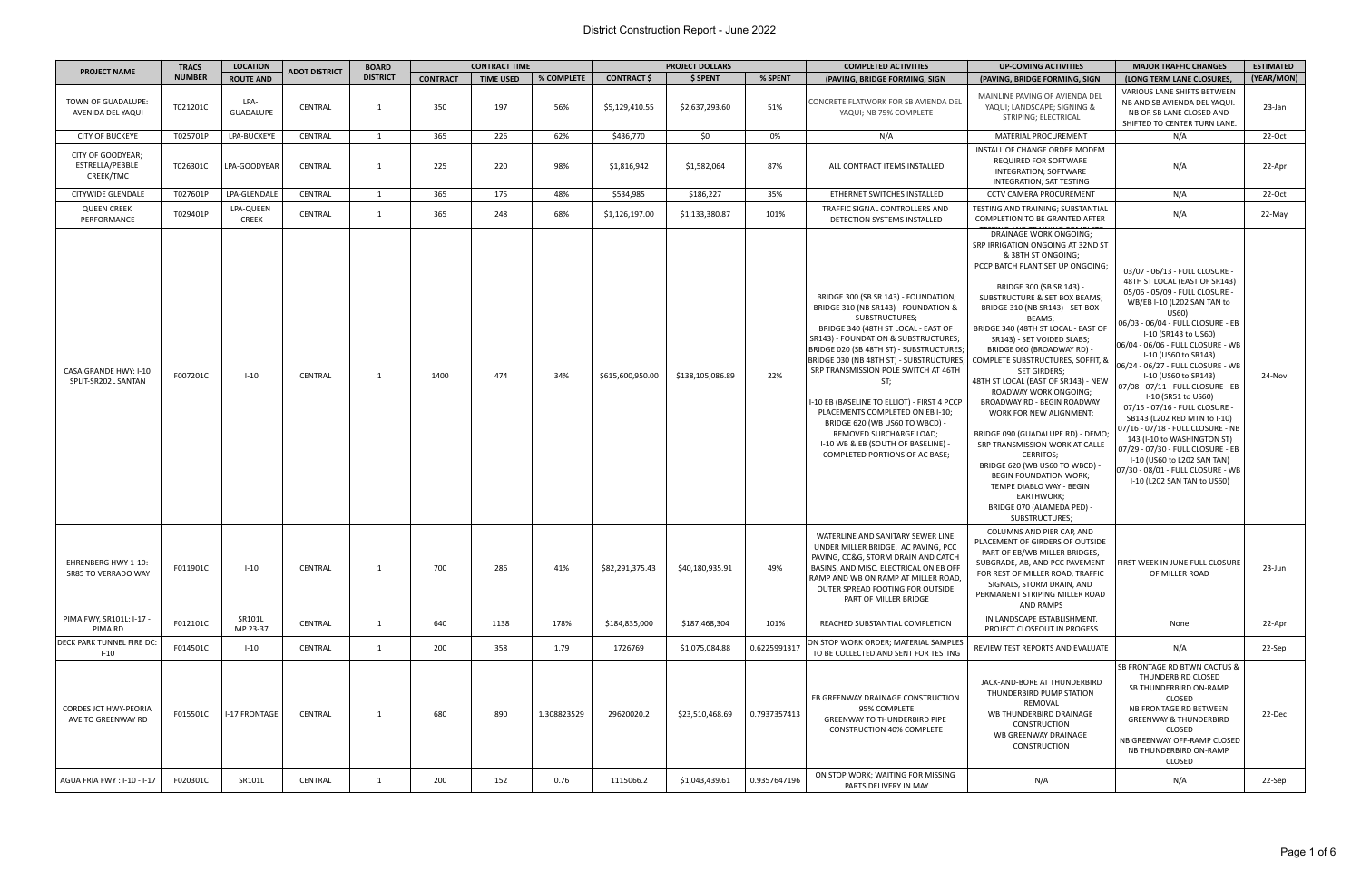| <b>PROJECT NAME</b>                                | <b>TRACS</b>  | <b>LOCATION</b>           | <b>ADOT DISTRICT</b> | <b>BOARD</b>    | <b>CONTRACT TIME</b> |                  |             | <b>PROJECT DOLLARS</b> |                  |              | <b>COMPLETED ACTIVITIES</b>                                                                                                                                                                                                                                                                                                                                                                                                                                                                                                                         | <b>UP-COMING ACTIVITIES</b>                                                                                                                                                                                                                                                                                                                                                                                                                                                                                                                                                                                                                                                                                                                                                      | <b>MAJOR TRAFFIC CHANGES</b>                                                                                                                                                                                                                                                                                                                                                                                                                                                                                                                                                                                                                                               | <b>ESTIMATED</b> |
|----------------------------------------------------|---------------|---------------------------|----------------------|-----------------|----------------------|------------------|-------------|------------------------|------------------|--------------|-----------------------------------------------------------------------------------------------------------------------------------------------------------------------------------------------------------------------------------------------------------------------------------------------------------------------------------------------------------------------------------------------------------------------------------------------------------------------------------------------------------------------------------------------------|----------------------------------------------------------------------------------------------------------------------------------------------------------------------------------------------------------------------------------------------------------------------------------------------------------------------------------------------------------------------------------------------------------------------------------------------------------------------------------------------------------------------------------------------------------------------------------------------------------------------------------------------------------------------------------------------------------------------------------------------------------------------------------|----------------------------------------------------------------------------------------------------------------------------------------------------------------------------------------------------------------------------------------------------------------------------------------------------------------------------------------------------------------------------------------------------------------------------------------------------------------------------------------------------------------------------------------------------------------------------------------------------------------------------------------------------------------------------|------------------|
|                                                    | <b>NUMBER</b> | <b>ROUTE AND</b>          |                      | <b>DISTRICT</b> | <b>CONTRACT</b>      | <b>TIME USED</b> | % COMPLETE  | <b>CONTRACT \$</b>     | \$ SPENT         | % SPENT      | (PAVING, BRIDGE FORMING, SIGN                                                                                                                                                                                                                                                                                                                                                                                                                                                                                                                       | (PAVING, BRIDGE FORMING, SIGN                                                                                                                                                                                                                                                                                                                                                                                                                                                                                                                                                                                                                                                                                                                                                    | (LONG TERM LANE CLOSURES,                                                                                                                                                                                                                                                                                                                                                                                                                                                                                                                                                                                                                                                  | (YEAR/MON)       |
| TOWN OF GUADALUPE:<br>AVENIDA DEL YAQUI            | T021201C      | LPA-<br><b>GUADALUPE</b>  | CENTRAL              | 1               | 350                  | 197              | 56%         | \$5,129,410.55         | \$2,637,293.60   | 51%          | CONCRETE FLATWORK FOR SB AVIENDA DEL<br>YAQUI; NB 75% COMPLETE                                                                                                                                                                                                                                                                                                                                                                                                                                                                                      | MAINLINE PAVING OF AVIENDA DEL<br>YAQUI; LANDSCAPE; SIGNING &<br>STRIPING; ELECTRICAL                                                                                                                                                                                                                                                                                                                                                                                                                                                                                                                                                                                                                                                                                            | <b>VARIOUS LANE SHIFTS BETWEEN</b><br>NB AND SB AVIENDA DEL YAQUI.<br>NB OR SB LANE CLOSED AND<br>SHIFTED TO CENTER TURN LANE.                                                                                                                                                                                                                                                                                                                                                                                                                                                                                                                                             | 23-Jan           |
| <b>CITY OF BUCKEYE</b>                             | T025701P      | LPA-BUCKEYE               | CENTRAL              | 1               | 365                  | 226              | 62%         | \$436,770              | \$0              | 0%           | N/A                                                                                                                                                                                                                                                                                                                                                                                                                                                                                                                                                 | MATERIAL PROCUREMENT                                                                                                                                                                                                                                                                                                                                                                                                                                                                                                                                                                                                                                                                                                                                                             | N/A                                                                                                                                                                                                                                                                                                                                                                                                                                                                                                                                                                                                                                                                        | 22-Oct           |
| CITY OF GOODYEAR;<br>ESTRELLA/PEBBLE<br>CREEK/TMC  | T026301C      | LPA-GOODYEAR              | <b>CENTRAL</b>       | 1               | 225                  | 220              | 98%         | \$1,816,942            | \$1,582,064      | 87%          | ALL CONTRACT ITEMS INSTALLED                                                                                                                                                                                                                                                                                                                                                                                                                                                                                                                        | INSTALL OF CHANGE ORDER MODEM<br>REQUIRED FOR SOFTWARE<br>INTEGRATION; SOFTWARE<br><b>INTEGRATION; SAT TESTING</b>                                                                                                                                                                                                                                                                                                                                                                                                                                                                                                                                                                                                                                                               | N/A                                                                                                                                                                                                                                                                                                                                                                                                                                                                                                                                                                                                                                                                        | 22-Apr           |
| <b>CITYWIDE GLENDALE</b>                           | T027601P      | LPA-GLENDALE              | CENTRAL              | 1               | 365                  | 175              | 48%         | \$534,985              | \$186,227        | 35%          | ETHERNET SWITCHES INSTALLED                                                                                                                                                                                                                                                                                                                                                                                                                                                                                                                         | <b>CCTV CAMERA PROCUREMENT</b>                                                                                                                                                                                                                                                                                                                                                                                                                                                                                                                                                                                                                                                                                                                                                   | N/A                                                                                                                                                                                                                                                                                                                                                                                                                                                                                                                                                                                                                                                                        | 22-Oct           |
| <b>QUEEN CREEK</b><br>PERFORMANCE                  | T029401P      | LPA-QUEEN<br><b>CREEK</b> | CENTRAL              | 1               | 365                  | 248              | 68%         | \$1,126,197.00         | \$1,133,380.87   | 101%         | <b>TRAFFIC SIGNAL CONTROLLERS AND</b><br>DETECTION SYSTEMS INSTALLED                                                                                                                                                                                                                                                                                                                                                                                                                                                                                | TESTING AND TRAINING; SUBSTANTIAL<br>COMPLETION TO BE GRANTED AFTER                                                                                                                                                                                                                                                                                                                                                                                                                                                                                                                                                                                                                                                                                                              | N/A                                                                                                                                                                                                                                                                                                                                                                                                                                                                                                                                                                                                                                                                        | 22-May           |
| CASA GRANDE HWY: I-10<br>SPLIT-SR202L SANTAN       | F007201C      | $I-10$                    | <b>CENTRAL</b>       | 1               | 1400                 | 474              | 34%         | \$615,600,950.00       | \$138,105,086.89 | 22%          | BRIDGE 300 (SB SR 143) - FOUNDATION;<br>BRIDGE 310 (NB SR143) - FOUNDATION &<br><b>SUBSTRUCTURES:</b><br>BRIDGE 340 (48TH ST LOCAL - EAST OF<br>SR143) - FOUNDATION & SUBSTRUCTURES;<br>BRIDGE 020 (SB 48TH ST) - SUBSTRUCTURES;<br>BRIDGE 030 (NB 48TH ST) - SUBSTRUCTURES;<br>SRP TRANSMISSION POLE SWITCH AT 46TH<br>ST;<br>I-10 EB (BASELINE TO ELLIOT) - FIRST 4 PCCP<br>PLACEMENTS COMPLETED ON EB I-10;<br>BRIDGE 620 (WB US60 TO WBCD) -<br>REMOVED SURCHARGE LOAD;<br>I-10 WB & EB (SOUTH OF BASELINE) -<br>COMPLETED PORTIONS OF AC BASE; | DRAINAGE WORK ONGOING;<br>SRP IRRIGATION ONGOING AT 32ND ST<br>& 38TH ST ONGOING;<br>PCCP BATCH PLANT SET UP ONGOING;<br>BRIDGE 300 (SB SR 143) -<br>SUBSTRUCTURE & SET BOX BEAMS;<br>BRIDGE 310 (NB SR143) - SET BOX<br>BEAMS;<br>BRIDGE 340 (48TH ST LOCAL - EAST OF<br>SR143) - SET VOIDED SLABS;<br>BRIDGE 060 (BROADWAY RD) -<br>COMPLETE SUBSTRUCTURES, SOFFIT, &<br><b>SET GIRDERS;</b><br>48TH ST LOCAL (EAST OF SR143) - NEW<br>ROADWAY WORK ONGOING;<br>BROADWAY RD - BEGIN ROADWAY<br>WORK FOR NEW ALIGNMENT;<br>BRIDGE 090 (GUADALUPE RD) - DEMO;<br>SRP TRANSMISSION WORK AT CALLE<br><b>CERRITOS:</b><br>BRIDGE 620 (WB US60 TO WBCD) -<br><b>BEGIN FOUNDATION WORK:</b><br>TEMPE DIABLO WAY - BEGIN<br>EARTHWORK;<br>BRIDGE 070 (ALAMEDA PED) -<br>SUBSTRUCTURES; | 03/07 - 06/13 - FULL CLOSURE -<br>48TH ST LOCAL (EAST OF SR143)<br>05/06 - 05/09 - FULL CLOSURE -<br>WB/EB I-10 (L202 SAN TAN to<br>US60)<br>06/03 - 06/04 - FULL CLOSURE - EB<br>I-10 (SR143 to US60)<br>06/04 - 06/06 - FULL CLOSURE - WB<br>I-10 (US60 to SR143)<br>06/24 - 06/27 - FULL CLOSURE - WB<br>I-10 (US60 to SR143)<br>07/08 - 07/11 - FULL CLOSURE - EB<br>I-10 (SR51 to US60)<br>07/15 - 07/16 - FULL CLOSURE -<br>SB143 (L202 RED MTN to I-10)<br>07/16 - 07/18 - FULL CLOSURE - NB<br>143 (I-10 to WASHINGTON ST)<br>07/29 - 07/30 - FULL CLOSURE - EB<br>I-10 (US60 to L202 SAN TAN)<br>07/30 - 08/01 - FULL CLOSURE - WB<br>I-10 (L202 SAN TAN to US60) | 24-Nov           |
| <b>EHRENBERG HWY 1-10:</b><br>SR85 TO VERRADO WAY  | F011901C      | $I-10$                    | CENTRAL              | 1               | 700                  | 286              | 41%         | \$82,291,375.43        | \$40,180,935.91  | 49%          | WATERLINE AND SANITARY SEWER LINE<br>UNDER MILLER BRIDGE, AC PAVING, PCC<br>PAVING, CC&G, STORM DRAIN AND CATCH<br>BASINS, AND MISC. ELECTRICAL ON EB OFF<br>RAMP AND WB ON RAMP AT MILLER ROAD,<br>OUTER SPREAD FOOTING FOR OUTSIDE<br>PART OF MILLER BRIDGE                                                                                                                                                                                                                                                                                       | COLUMNS AND PIER CAP, AND<br>PLACEMENT OF GIRDERS OF OUTSIDE<br>PART OF EB/WB MILLER BRIDGES,<br>SUBGRADE, AB, AND PCC PAVEMENT<br>FOR REST OF MILLER ROAD, TRAFFIC<br>SIGNALS, STORM DRAIN, AND<br>PERMANENT STRIPING MILLER ROAD<br>AND RAMPS                                                                                                                                                                                                                                                                                                                                                                                                                                                                                                                                  | <b>FIRST WEEK IN JUNE FULL CLOSURE</b><br>OF MILLER ROAD                                                                                                                                                                                                                                                                                                                                                                                                                                                                                                                                                                                                                   | 23-Jun           |
| PIMA FWY, SR101L: I-17 -<br>PIMA RD                | F012101C      | SR101L<br>MP 23-37        | CENTRAL              | 1               | 640                  | 1138             | 178%        | \$184,835,000          | \$187,468,304    | 101%         | REACHED SUBSTANTIAL COMPLETION                                                                                                                                                                                                                                                                                                                                                                                                                                                                                                                      | IN LANDSCAPE ESTABLISHMENT.<br>PROJECT CLOSEOUT IN PROGESS                                                                                                                                                                                                                                                                                                                                                                                                                                                                                                                                                                                                                                                                                                                       | None                                                                                                                                                                                                                                                                                                                                                                                                                                                                                                                                                                                                                                                                       | 22-Apr           |
| <b>DECK PARK TUNNEL FIRE DC:</b><br>$1 - 10$       | F014501C      | $I - 10$                  | CENTRAL              | 1               | 200                  | 358              | 1.79        | 1726769                | \$1,075,084.88   | 0.6225991317 | ON STOP WORK ORDER; MATERIAL SAMPLES<br>TO BE COLLECTED AND SENT FOR TESTING                                                                                                                                                                                                                                                                                                                                                                                                                                                                        | REVIEW TEST REPORTS AND EVALUATE                                                                                                                                                                                                                                                                                                                                                                                                                                                                                                                                                                                                                                                                                                                                                 | N/A                                                                                                                                                                                                                                                                                                                                                                                                                                                                                                                                                                                                                                                                        | 22-Sep           |
| <b>CORDES JCT HWY-PEORIA</b><br>AVE TO GREENWAY RD | F015501C      | I-17 FRONTAGE             | <b>CENTRAL</b>       | 1               | 680                  | 890              | 1.308823529 | 29620020.2             | \$23,510,468.69  | 0.7937357413 | EB GREENWAY DRAINAGE CONSTRUCTION<br>95% COMPLETE<br><b>GREENWAY TO THUNDERBIRD PIPE</b><br><b>CONSTRUCTION 40% COMPLETE</b>                                                                                                                                                                                                                                                                                                                                                                                                                        | JACK-AND-BORE AT THUNDERBIRD<br>THUNDERBIRD PUMP STATION<br>REMOVAL<br>WB THUNDERBIRD DRAINAGE<br>CONSTRUCTION<br>WB GREENWAY DRAINAGE<br>CONSTRUCTION                                                                                                                                                                                                                                                                                                                                                                                                                                                                                                                                                                                                                           | SB FRONTAGE RD BTWN CACTUS &<br>THUNDERBIRD CLOSED<br>SB THUNDERBIRD ON-RAMP<br><b>CLOSED</b><br>NB FRONTAGE RD BETWEEN<br><b>GREENWAY &amp; THUNDERBIRD</b><br>CLOSED<br>NB GREENWAY OFF-RAMP CLOSED<br>NB THUNDERBIRD ON-RAMP<br>CLOSED                                                                                                                                                                                                                                                                                                                                                                                                                                  | 22-Dec           |
| AGUA FRIA FWY: I-10 - I-17                         | F020301C      | SR101L                    | CENTRAL              | 1               | 200                  | 152              | 0.76        | 1115066.2              | \$1,043,439.61   | 0.9357647196 | ON STOP WORK; WAITING FOR MISSING<br>PARTS DELIVERY IN MAY                                                                                                                                                                                                                                                                                                                                                                                                                                                                                          | N/A                                                                                                                                                                                                                                                                                                                                                                                                                                                                                                                                                                                                                                                                                                                                                                              | N/A                                                                                                                                                                                                                                                                                                                                                                                                                                                                                                                                                                                                                                                                        | 22-Sep           |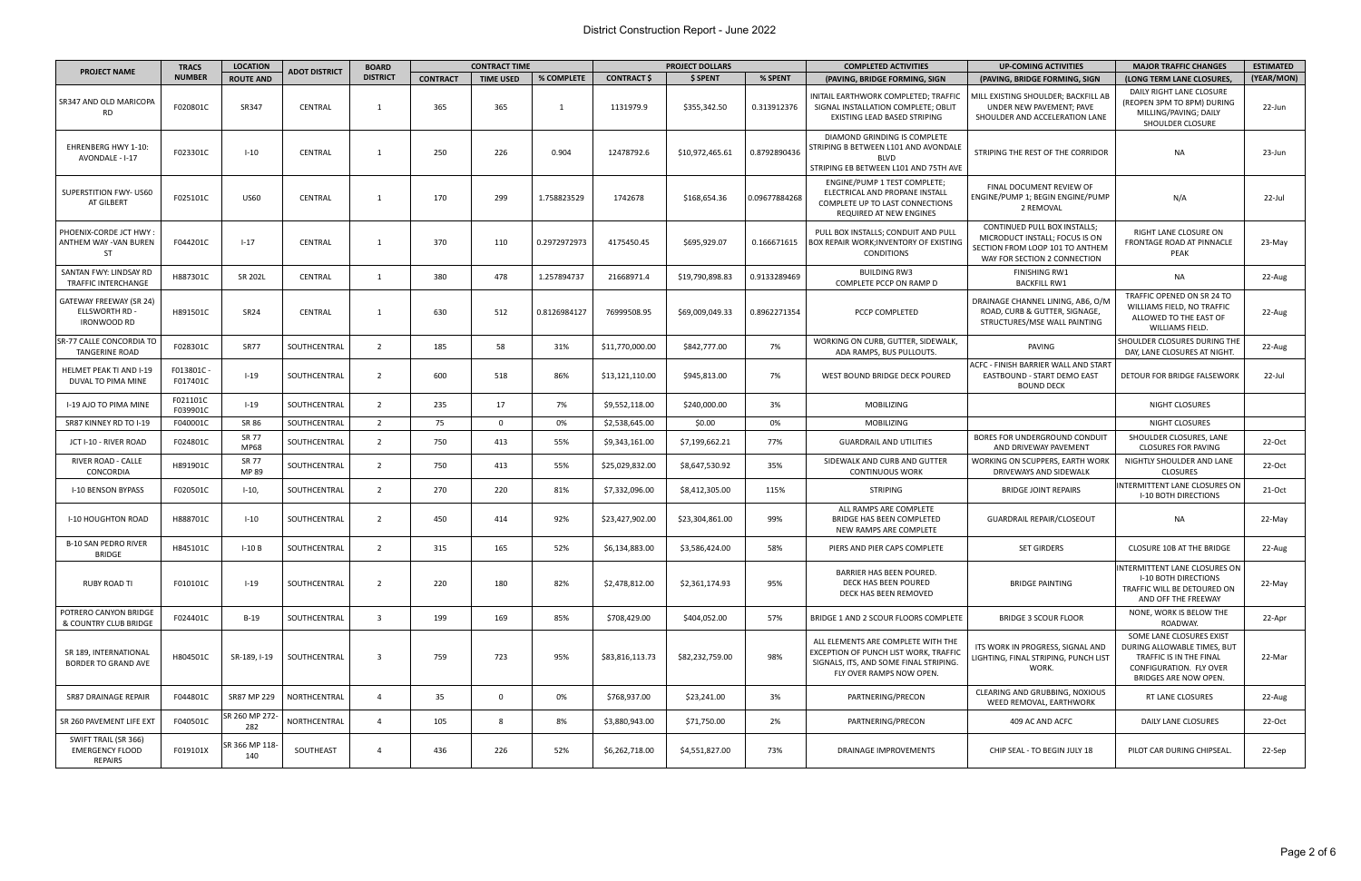| <b>PROJECT NAME</b>                                          | <b>LOCATION</b><br><b>CONTRACT TIME</b><br><b>BOARD</b><br><b>TRACS</b><br>ADOT DISTRICT |                       |                | <b>PROJECT DOLLARS</b>  |                 | <b>COMPLETED ACTIVITIES</b> | <b>UP-COMING ACTIVITIES</b> | <b>MAJOR TRAFFIC CHANGES</b> | <b>ESTIMATED</b> |               |                                                                                                                                                   |                                                                                                                                   |                                                                                                                                               |            |
|--------------------------------------------------------------|------------------------------------------------------------------------------------------|-----------------------|----------------|-------------------------|-----------------|-----------------------------|-----------------------------|------------------------------|------------------|---------------|---------------------------------------------------------------------------------------------------------------------------------------------------|-----------------------------------------------------------------------------------------------------------------------------------|-----------------------------------------------------------------------------------------------------------------------------------------------|------------|
|                                                              | <b>NUMBER</b>                                                                            | <b>ROUTE AND</b>      |                | <b>DISTRICT</b>         | <b>CONTRACT</b> | <b>TIME USED</b>            | % COMPLETE                  | <b>CONTRACT \$</b>           | \$ SPENT         | % SPENT       | (PAVING, BRIDGE FORMING, SIGN                                                                                                                     | (PAVING, BRIDGE FORMING, SIGN                                                                                                     | (LONG TERM LANE CLOSURES,                                                                                                                     | (YEAR/MON) |
| SR347 AND OLD MARICOPA<br>RD.                                | F020801C                                                                                 | SR347                 | CENTRAL        | $\overline{1}$          | 365             | 365                         | -1                          | 1131979.9                    | \$355,342.50     | 0.313912376   | INITAIL EARTHWORK COMPLETED; TRAFFIC<br>SIGNAL INSTALLATION COMPLETE; OBLIT<br>EXISTING LEAD BASED STRIPING                                       | MILL EXISTING SHOULDER; BACKFILL AB<br>UNDER NEW PAVEMENT; PAVE<br>SHOULDER AND ACCELERATION LANE                                 | DAILY RIGHT LANE CLOSURE<br>(REOPEN 3PM TO 8PM) DURING<br>MILLING/PAVING; DAILY<br><b>SHOULDER CLOSURE</b>                                    | 22-Jun     |
| <b>EHRENBERG HWY 1-10:</b><br>AVONDALE - I-17                | F023301C                                                                                 | $I-10$                | <b>CENTRAL</b> |                         | 250             | 226                         | 0.904                       | 12478792.6                   | \$10,972,465.61  | 0.8792890436  | DIAMOND GRINDING IS COMPLETE<br>STRIPING B BETWEEN L101 AND AVONDALE<br><b>BLVD</b><br>STRIPING EB BETWEEN L101 AND 75TH AVE                      | STRIPING THE REST OF THE CORRIDOR                                                                                                 | <b>NA</b>                                                                                                                                     | 23-Jun     |
| SUPERSTITION FWY- US60<br>AT GILBERT                         | F025101C                                                                                 | <b>US60</b>           | <b>CENTRAL</b> | -1                      | 170             | 299                         | 1.758823529                 | 1742678                      | \$168,654.36     | 0.09677884268 | ENGINE/PUMP 1 TEST COMPLETE;<br>ELECTRICAL AND PROPANE INSTALL<br>COMPLETE UP TO LAST CONNECTIONS<br>REQUIRED AT NEW ENGINES                      | FINAL DOCUMENT REVIEW OF<br>ENGINE/PUMP 1; BEGIN ENGINE/PUMP<br>2 REMOVAL                                                         | N/A                                                                                                                                           | 22-Jul     |
| PHOENIX-CORDE JCT HWY<br>ANTHEM WAY - VAN BUREN<br><b>ST</b> | F044201C                                                                                 | $1 - 17$              | <b>CENTRAL</b> |                         | 370             | 110                         | 0.2972972973                | 4175450.45                   | \$695,929.07     | 0.166671615   | PULL BOX INSTALLS; CONDUIT AND PULL<br>BOX REPAIR WORK; INVENTORY OF EXISTING<br><b>CONDITIONS</b>                                                | CONTINUED PULL BOX INSTALLS;<br>MICRODUCT INSTALL; FOCUS IS ON<br>SECTION FROM LOOP 101 TO ANTHEM<br>WAY FOR SECTION 2 CONNECTION | RIGHT LANE CLOSURE ON<br>FRONTAGE ROAD AT PINNACLE<br>PEAK                                                                                    | 23-May     |
| SANTAN FWY: LINDSAY RD<br>TRAFFIC INTERCHANGE                | H887301C                                                                                 | <b>SR 202L</b>        | CENTRAL        | 1                       | 380             | 478                         | 1.257894737                 | 21668971.4                   | \$19,790,898.83  | 0.9133289469  | <b>BUILDING RW3</b><br>COMPLETE PCCP ON RAMP D                                                                                                    | FINISHING RW1<br><b>BACKFILL RW1</b>                                                                                              | NA                                                                                                                                            | 22-Aug     |
| GATEWAY FREEWAY (SR 24)<br>ELLSWORTH RD<br>IRONWOOD RD       | H891501C                                                                                 | SR <sub>24</sub>      | CENTRAL        |                         | 630             | 512                         | 0.8126984127                | 76999508.95                  | \$69,009,049.33  | 0.8962271354  | PCCP COMPLETED                                                                                                                                    | DRAINAGE CHANNEL LINING, AB6, O/M<br>ROAD, CURB & GUTTER, SIGNAGE,<br>STRUCTURES/MSE WALL PAINTING                                | TRAFFIC OPENED ON SR 24 TO<br>WILLIAMS FIELD, NO TRAFFIC<br>ALLOWED TO THE EAST OF<br>WILLIAMS FIELD.                                         | 22-Aug     |
| SR-77 CALLE CONCORDIA TO<br><b>TANGERINE ROAD</b>            | F028301C                                                                                 | SR77                  | SOUTHCENTRAL   | $\overline{2}$          | 185             | 58                          | 31%                         | \$11,770,000.00              | \$842,777.00     | 7%            | WORKING ON CURB, GUTTER, SIDEWALK,<br>ADA RAMPS, BUS PULLOUTS.                                                                                    | PAVING                                                                                                                            | SHOULDER CLOSURES DURING THE<br>DAY, LANE CLOSURES AT NIGHT.                                                                                  | 22-Aug     |
| <b>HELMET PEAK TI AND I-19</b><br>DUVAL TO PIMA MINE         | F013801C -<br>F017401C                                                                   | $1 - 19$              | SOUTHCENTRAL   | $\overline{2}$          | 600             | 518                         | 86%                         | \$13,121,110.00              | \$945,813.00     | 7%            | WEST BOUND BRIDGE DECK POURED                                                                                                                     | ACFC - FINISH BARRIER WALL AND START<br>EASTBOUND - START DEMO EAST<br><b>BOUND DECK</b>                                          | DETOUR FOR BRIDGE FALSEWORK                                                                                                                   | 22-Jul     |
| I-19 AJO TO PIMA MINE                                        | F021101C<br>F039901C                                                                     | $1 - 19$              | SOUTHCENTRAL   | 2                       | 235             | 17                          | 7%                          | \$9,552,118.00               | \$240,000.00     | 3%            | MOBILIZING                                                                                                                                        |                                                                                                                                   | <b>NIGHT CLOSURES</b>                                                                                                                         |            |
| SR87 KINNEY RD TO I-19                                       | F040001C                                                                                 | SR 86                 | SOUTHCENTRAL   | $\overline{2}$          | 75              | $\overline{0}$              | 0%                          | \$2,538,645.00               | \$0.00           | 0%            | <b>MOBILIZING</b>                                                                                                                                 |                                                                                                                                   | <b>NIGHT CLOSURES</b>                                                                                                                         |            |
| JCT I-10 - RIVER ROAD                                        | F024801C                                                                                 | SR 77<br><b>MP68</b>  | SOUTHCENTRAL   | $\overline{2}$          | 750             | 413                         | 55%                         | \$9,343,161.00               | \$7,199,662.21   | 77%           | <b>GUARDRAIL AND UTILITIES</b>                                                                                                                    | BORES FOR UNDERGROUND CONDUIT<br>AND DRIVEWAY PAVEMENT                                                                            | SHOULDER CLOSURES, LANE<br><b>CLOSURES FOR PAVING</b>                                                                                         | 22-Oct     |
| RIVER ROAD - CALLE<br>CONCORDIA                              | H891901C                                                                                 | SR 77<br>MP 89        | SOUTHCENTRAL   | $\overline{2}$          | 750             | 413                         | 55%                         | \$25,029,832.00              | \$8,647,530.92   | 35%           | SIDEWALK AND CURB AND GUTTER<br><b>CONTINUOUS WORK</b>                                                                                            | <b>WORKING ON SCUPPERS, EARTH WORK</b><br>DRIVEWAYS AND SIDEWALK                                                                  | NIGHTLY SHOULDER AND LANE<br><b>CLOSURES</b>                                                                                                  | 22-Oct     |
| I-10 BENSON BYPASS                                           | F020501C                                                                                 | $1-10,$               | SOUTHCENTRAL   | $\overline{2}$          | 270             | 220                         | 81%                         | \$7,332,096.00               | \$8,412,305.00   | 115%          | STRIPING                                                                                                                                          | <b>BRIDGE JOINT REPAIRS</b>                                                                                                       | INTERMITTENT LANE CLOSURES ON<br><b>I-10 BOTH DIRECTIONS</b>                                                                                  | 21-Oct     |
| <b>I-10 HOUGHTON ROAD</b>                                    | H888701C                                                                                 | $I-10$                | SOUTHCENTRAL   | $\overline{2}$          | 450             | 414                         | 92%                         | \$23,427,902.00              | \$23,304,861.00  | 99%           | ALL RAMPS ARE COMPLETE<br>BRIDGE HAS BEEN COMPLETED<br>NEW RAMPS ARE COMPLETE                                                                     | <b>GUARDRAIL REPAIR/CLOSEOUT</b>                                                                                                  | NA                                                                                                                                            | 22-May     |
| <b>B-10 SAN PEDRO RIVER</b><br><b>BRIDGE</b>                 | H845101C                                                                                 | $I-10B$               | SOUTHCENTRAL   | $\overline{2}$          | 315             | 165                         | 52%                         | \$6,134,883.00               | \$3,586,424.00   | 58%           | PIERS AND PIER CAPS COMPLETE                                                                                                                      | <b>SET GIRDERS</b>                                                                                                                | <b>CLOSURE 10B AT THE BRIDGE</b>                                                                                                              | 22-Aug     |
| <b>RUBY ROAD TI</b>                                          | F010101C                                                                                 | $1 - 19$              | SOUTHCENTRAL   | 2                       | 220             | 180                         | 82%                         | \$2.478.812.00               | \$2,361,174.93   | 95%           | BARRIER HAS BEEN POURED.<br>DECK HAS BEEN POURED<br>DECK HAS BEEN REMOVED                                                                         | <b>BRIDGE PAINTING</b>                                                                                                            | INTERMITTENT LANE CLOSURES ON<br><b>I-10 BOTH DIRECTIONS</b><br>TRAFFIC WILL BE DETOURED ON<br>AND OFF THE FREEWAY                            | 22-May     |
| POTRERO CANYON BRIDGE<br>& COUNTRY CLUB BRIDGE               | F024401C                                                                                 | $B-19$                | SOUTHCENTRAL   | $\overline{\mathbf{3}}$ | 199             | 169                         | 85%                         | \$708,429.00                 | \$404,052.00     | 57%           | BRIDGE 1 AND 2 SCOUR FLOORS COMPLETE                                                                                                              | <b>BRIDGE 3 SCOUR FLOOR</b>                                                                                                       | NONE, WORK IS BELOW THE<br>ROADWAY.                                                                                                           | 22-Apr     |
| SR 189, INTERNATIONAL<br>BORDER TO GRAND AVE                 | H804501C                                                                                 | SR-189, I-19          | SOUTHCENTRAL   | $\overline{3}$          | 759             | 723                         | 95%                         | \$83,816,113.73              | \$82,232,759.00  | 98%           | ALL ELEMENTS ARE COMPLETE WITH THE<br>EXCEPTION OF PUNCH LIST WORK, TRAFFIC<br>SIGNALS, ITS, AND SOME FINAL STRIPING.<br>FLY OVER RAMPS NOW OPEN. | ITS WORK IN PROGRESS, SIGNAL AND<br>LIGHTING, FINAL STRIPING, PUNCH LIST<br>WORK.                                                 | SOME LANE CLOSURES EXIST<br>DURING ALLOWABLE TIMES, BUT<br>TRAFFIC IS IN THE FINAL<br>CONFIGURATION. FLY OVER<br><b>BRIDGES ARE NOW OPEN.</b> | 22-Mar     |
| SR87 DRAINAGE REPAIR                                         | F044801C                                                                                 | SR87 MP 229           | NORTHCENTRAL   | $\overline{4}$          | 35              | $\overline{0}$              | 0%                          | \$768,937.00                 | \$23,241.00      | 3%            | PARTNERING/PRECON                                                                                                                                 | <b>CLEARING AND GRUBBING, NOXIOUS</b><br>WEED REMOVAL, EARTHWORK                                                                  | RT LANE CLOSURES                                                                                                                              | 22-Aug     |
| SR 260 PAVEMENT LIFE EXT                                     | F040501C                                                                                 | SR 260 MP 272-<br>282 | NORTHCENTRAL   | $\overline{4}$          | 105             | - 8                         | 8%                          | \$3,880,943.00               | \$71,750.00      | 2%            | PARTNERING/PRECON                                                                                                                                 | 409 AC AND ACFC                                                                                                                   | DAILY LANE CLOSURES                                                                                                                           | 22-Oct     |
| SWIFT TRAIL (SR 366)<br><b>EMERGENCY FLOOD</b><br>REPAIRS    | F019101X                                                                                 | SR 366 MP 118-<br>140 | SOUTHEAST      | $\overline{4}$          | 436             | 226                         | 52%                         | \$6,262,718.00               | \$4,551,827.00   | 73%           | DRAINAGE IMPROVEMENTS                                                                                                                             | CHIP SEAL - TO BEGIN JULY 18                                                                                                      | PILOT CAR DURING CHIPSEAL.                                                                                                                    | 22-Sep     |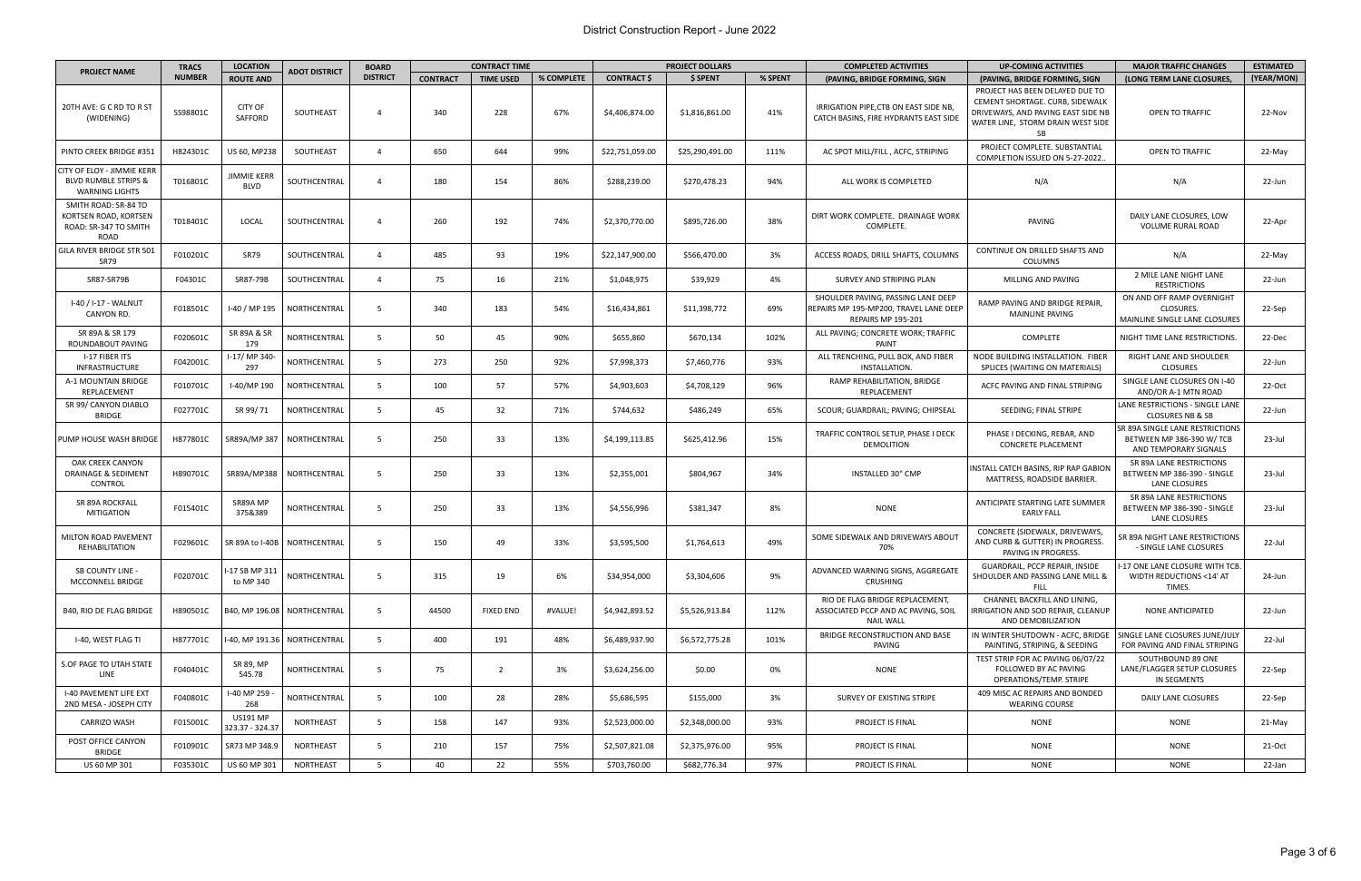## District Construction Report - June 2022

|                                                                                               | <b>TRACS</b>  | <b>LOCATION</b>                    |                                | <b>BOARD</b>    |                 | <b>CONTRACT TIME</b> |            | <b>PROJECT DOLLARS</b> |                 |         | <b>COMPLETED ACTIVITIES</b>                                                                        | <b>UP-COMING ACTIVITIES</b>                                                                                                                                | <b>MAJOR TRAFFIC CHANGES</b>                                                          | <b>ESTIMATED</b> |
|-----------------------------------------------------------------------------------------------|---------------|------------------------------------|--------------------------------|-----------------|-----------------|----------------------|------------|------------------------|-----------------|---------|----------------------------------------------------------------------------------------------------|------------------------------------------------------------------------------------------------------------------------------------------------------------|---------------------------------------------------------------------------------------|------------------|
| <b>PROJECT NAME</b>                                                                           | <b>NUMBER</b> | <b>ROUTE AND</b>                   | ADOT DISTRICT                  | <b>DISTRICT</b> | <b>CONTRACT</b> | <b>TIME USED</b>     | % COMPLETE | <b>CONTRACT \$</b>     | \$ SPENT        | % SPENT | (PAVING, BRIDGE FORMING, SIGN                                                                      | (PAVING, BRIDGE FORMING, SIGN                                                                                                                              | (LONG TERM LANE CLOSURES,                                                             | (YEAR/MON)       |
| 20TH AVE: G C RD TO R ST<br>(WIDENING)                                                        | SS98801C      | <b>CITY OF</b><br>SAFFORD          | SOUTHEAST                      | $\Delta$        | 340             | 228                  | 67%        | \$4,406,874.00         | \$1,816,861.00  | 41%     | IRRIGATION PIPE, CTB ON EAST SIDE NB,<br>CATCH BASINS, FIRE HYDRANTS EAST SIDE                     | PROJECT HAS BEEN DELAYED DUE TO<br>CEMENT SHORTAGE. CURB, SIDEWALK<br>DRIVEWAYS, AND PAVING EAST SIDE NB<br>WATER LINE, STORM DRAIN WEST SIDE<br><b>SB</b> | OPEN TO TRAFFIC                                                                       | 22-Nov           |
| PINTO CREEK BRIDGE #351                                                                       | H824301C      | US 60, MP238                       | SOUTHEAST                      | $\overline{4}$  | 650             | 644                  | 99%        | \$22,751,059.00        | \$25,290,491.00 | 111%    | AC SPOT MILL/FILL, ACFC, STRIPING                                                                  | PROJECT COMPLETE. SUBSTANTIAL<br>COMPLETION ISSUED ON 5-27-2022                                                                                            | OPEN TO TRAFFIC                                                                       | 22-May           |
| <b>CITY OF ELOY - JIMMIE KERR</b><br><b>BLVD RUMBLE STRIPS &amp;</b><br><b>WARNING LIGHTS</b> | T016801C      | <b>JIMMIE KERR</b><br><b>BLVD</b>  | SOUTHCENTRAL                   | $\overline{4}$  | 180             | 154                  | 86%        | \$288,239.00           | \$270,478.23    | 94%     | ALL WORK IS COMPLETED                                                                              | N/A                                                                                                                                                        | N/A                                                                                   | 22-Jun           |
| SMITH ROAD: SR-84 TO<br>KORTSEN ROAD, KORTSEN<br>ROAD: SR-347 TO SMITH<br>ROAD                | T018401C      | LOCAL                              | SOUTHCENTRAL                   | $\overline{4}$  | 260             | 192                  | 74%        | \$2,370,770.00         | \$895,726.00    | 38%     | DIRT WORK COMPLETE. DRAINAGE WORK<br>COMPLETE.                                                     | PAVING                                                                                                                                                     | DAILY LANE CLOSURES, LOW<br><b>VOLUME RURAL ROAD</b>                                  | 22-Apr           |
| GILA RIVER BRIDGE STR 501<br><b>SR79</b>                                                      | F010201C      | SR79                               | SOUTHCENTRAL                   | $\overline{4}$  | 485             | 93                   | 19%        | \$22,147,900.00        | \$566,470.00    | 3%      | ACCESS ROADS, DRILL SHAFTS, COLUMNS                                                                | CONTINUE ON DRILLED SHAFTS AND<br><b>COLUMNS</b>                                                                                                           | N/A                                                                                   | 22-May           |
| <b>SR87-SR79B</b>                                                                             | F04301C       | SR87-79B                           | SOUTHCENTRAL                   | $\overline{4}$  | 75              | 16                   | 21%        | \$1,048,975            | \$39,929        | 4%      | SURVEY AND STRIPING PLAN                                                                           | MILLING AND PAVING                                                                                                                                         | 2 MILE LANE NIGHT LANE<br><b>RESTRICTIONS</b>                                         | 22-Jun           |
| I-40 / I-17 - WALNUT<br>CANYON RD.                                                            | F018501C      | I-40 / MP 195                      | NORTHCENTRAL                   | - 5             | 340             | 183                  | 54%        | \$16,434,861           | \$11,398,772    | 69%     | SHOULDER PAVING, PASSING LANE DEEP<br>REPAIRS MP 195-MP200, TRAVEL LANE DEEP<br>REPAIRS MP 195-201 | RAMP PAVING AND BRIDGE REPAIR,<br><b>MAINLINE PAVING</b>                                                                                                   | ON AND OFF RAMP OVERNIGHT<br><b>CLOSURES.</b><br>MAINLINE SINGLE LANE CLOSURES        | 22-Sep           |
| SR 89A & SR 179<br>ROUNDABOUT PAVING                                                          | F020601C      | SR 89A & SR<br>179                 | NORTHCENTRAL                   | 5 <sup>5</sup>  | 50              | 45                   | 90%        | \$655,860              | \$670,134       | 102%    | ALL PAVING; CONCRETE WORK; TRAFFIC<br>PAINT                                                        | <b>COMPLETE</b>                                                                                                                                            | NIGHT TIME LANE RESTRICTIONS.                                                         | 22-Dec           |
| I-17 FIBER ITS<br><b>INFRASTRUCTURE</b>                                                       | F042001C      | I-17/MP 340<br>297                 | NORTHCENTRAL                   | -5              | 273             | 250                  | 92%        | \$7,998,373            | \$7,460,776     | 93%     | ALL TRENCHING, PULL BOX, AND FIBER<br>INSTALLATION.                                                | NODE BUILDING INSTALLATION. FIBER<br>SPLICES (WAITING ON MATERIALS)                                                                                        | RIGHT LANE AND SHOULDER<br><b>CLOSURES</b>                                            | 22-Jun           |
| A-1 MOUNTAIN BRIDGE<br>REPLACEMENT                                                            | F010701C      | I-40/MP 190                        | NORTHCENTRAL                   | -5              | 100             | 57                   | 57%        | \$4,903,603            | \$4,708,129     | 96%     | RAMP REHABILITATION, BRIDGE<br>REPLACEMENT                                                         | ACFC PAVING AND FINAL STRIPING                                                                                                                             | SINGLE LANE CLOSURES ON I-40<br>AND/OR A-1 MTN ROAD                                   | 22-Oct           |
| SR 99/ CANYON DIABLO<br><b>BRIDGE</b>                                                         | F027701C      | SR 99/71                           | NORTHCENTRAL                   | - 5             | 45              | 32                   | 71%        | \$744,632              | \$486,249       | 65%     | SCOUR; GUARDRAIL; PAVING; CHIPSEAL                                                                 | SEEDING; FINAL STRIPE                                                                                                                                      | LANE RESTRICTIONS - SINGLE LANE<br><b>CLOSURES NB &amp; SB</b>                        | 22-Jun           |
| PUMP HOUSE WASH BRIDGE                                                                        | H877801C      |                                    | SR89A/MP 387   NORTHCENTRAL    | -5              | 250             | 33                   | 13%        | \$4,199,113.85         | \$625,412.96    | 15%     | TRAFFIC CONTROL SETUP, PHASE I DECK<br><b>DEMOLITION</b>                                           | PHASE I DECKING, REBAR, AND<br><b>CONCRETE PLACEMENT</b>                                                                                                   | SR 89A SINGLE LANE RESTRICTIONS<br>BETWEEN MP 386-390 W/ TCB<br>AND TEMPORARY SIGNALS | 23-Jul           |
| OAK CREEK CANYON<br><b>DRAINAGE &amp; SEDIMENT</b><br><b>CONTROL</b>                          | H890701C      |                                    | SR89A/MP388   NORTHCENTRAL     | -5              | 250             | 33                   | 13%        | \$2,355,001            | \$804,967       | 34%     | <b>INSTALLED 30" CMP</b>                                                                           | INSTALL CATCH BASINS, RIP RAP GABION<br>MATTRESS, ROADSIDE BARRIER.                                                                                        | SR 89A LANE RESTRICTIONS<br>BETWEEN MP 386-390 - SINGLE<br>LANE CLOSURES              | $23$ -Jul        |
| SR 89A ROCKFALL<br><b>MITIGATION</b>                                                          | F015401C      | SR89A MP<br>375&389                | <b>NORTHCENTRAL</b>            | - 5             | 250             | 33                   | 13%        | \$4,556,996            | \$381,347       | 8%      | <b>NONE</b>                                                                                        | ANTICIPATE STARTING LATE SUMMER<br><b>EARLY FALL</b>                                                                                                       | SR 89A LANE RESTRICTIONS<br>BETWEEN MP 386-390 - SINGLE<br>LANE CLOSURES              | 23-Jul           |
| MILTON ROAD PAVEMENT<br>REHABILITATION                                                        | F029601C      |                                    | SR 89A to I-40B   NORTHCENTRAL | -5              | 150             | 49                   | 33%        | \$3,595,500            | \$1,764,613     | 49%     | SOME SIDEWALK AND DRIVEWAYS ABOUT<br>70%                                                           | CONCRETE (SIDEWALK, DRIVEWAYS,<br>AND CURB & GUTTER) IN PROGRESS.<br>PAVING IN PROGRESS.                                                                   | SR 89A NIGHT LANE RESTRICTIONS<br>- SINGLE LANE CLOSURES                              | 22-Jul           |
| <b>SB COUNTY LINE -</b><br><b>MCCONNELL BRIDGE</b>                                            | F020701C      | I-17 SB MP 311<br>to MP 340        | NORTHCENTRAL                   | -5              | 315             | 19                   | 6%         | \$34,954,000           | \$3,304,606     | 9%      | ADVANCED WARNING SIGNS, AGGREGATE<br>CRUSHING                                                      | GUARDRAIL, PCCP REPAIR, INSIDE<br>SHOULDER AND PASSING LANE MILL &<br>FILL                                                                                 | I-17 ONE LANE CLOSURE WITH TCB<br>WIDTH REDUCTIONS <14' AT<br>TIMES.                  | 24-Jun           |
| <b>B40, RIO DE FLAG BRIDGE</b>                                                                | H890501C      |                                    | B40, MP 196.08   NORTHCENTRAL  | 5               | 44500           | <b>FIXED END</b>     | #VALUE!    | \$4,942,893.52         | \$5,526,913.84  | 112%    | RIO DE FLAG BRIDGE REPLACEMENT,<br>ASSOCIATED PCCP AND AC PAVING, SOIL<br><b>NAIL WALL</b>         | CHANNEL BACKFILL AND LINING,<br>IRRIGATION AND SOD REPAIR, CLEANUP<br>AND DEMOBILIZATION                                                                   | <b>NONE ANTICIPATED</b>                                                               | 22-Jun           |
| I-40, WEST FLAG TI                                                                            | H877701C      |                                    | -40, MP 191.36   NORTHCENTRAL  | - 5             | 400             | 191                  | 48%        | \$6,489,937.90         | \$6,572,775.28  | 101%    | BRIDGE RECONSTRUCTION AND BASE<br>PAVING                                                           | IN WINTER SHUTDOWN - ACFC, BRIDGE<br>PAINTING, STRIPING, & SEEDING                                                                                         | SINGLE LANE CLOSURES JUNE/JULY<br>FOR PAVING AND FINAL STRIPING                       | 22-Jul           |
| S.OF PAGE TO UTAH STATE<br>LINE                                                               | F040401C      | SR 89, MP<br>545.78                | NORTHCENTRAL                   | 5               | 75              | $\overline{2}$       | 3%         | \$3,624,256.00         | \$0.00          | 0%      | <b>NONE</b>                                                                                        | TEST STRIP FOR AC PAVING 06/07/22<br>FOLLOWED BY AC PAVING<br><b>OPERATIONS/TEMP. STRIPE</b>                                                               | SOUTHBOUND 89 ONE<br>LANE/FLAGGER SETUP CLOSURES<br>IN SEGMENTS                       | 22-Sep           |
| <b>I-40 PAVEMENT LIFE EXT</b><br>2ND MESA - JOSEPH CITY                                       | F040801C      | I-40 MP 259<br>268                 | NORTHCENTRAL                   | $5^{\circ}$     | 100             | 28                   | 28%        | \$5,686,595            | \$155,000       | 3%      | SURVEY OF EXISTING STRIPE                                                                          | 409 MISC AC REPAIRS AND BONDED<br><b>WEARING COURSE</b>                                                                                                    | DAILY LANE CLOSURES                                                                   | 22-Sep           |
| CARRIZO WASH                                                                                  | F015001C      | <b>US191 MP</b><br>323.37 - 324.37 | NORTHEAST                      | - 5             | 158             | 147                  | 93%        | \$2,523,000.00         | \$2,348,000.00  | 93%     | PROJECT IS FINAL                                                                                   | NONE                                                                                                                                                       | NONE                                                                                  | 21-May           |
| POST OFFICE CANYON<br><b>BRIDGE</b>                                                           | F010901C      | SR73 MP 348.9                      | NORTHEAST                      | -5              | 210             | 157                  | 75%        | \$2,507,821.08         | \$2,375,976.00  | 95%     | PROJECT IS FINAL                                                                                   | <b>NONE</b>                                                                                                                                                | <b>NONE</b>                                                                           | 21-Oct           |
| US 60 MP 301                                                                                  | F035301C      | US 60 MP 301                       | NORTHEAST                      | 5               | 40              | 22                   | 55%        | \$703,760.00           | \$682,776.34    | 97%     | PROJECT IS FINAL                                                                                   | <b>NONE</b>                                                                                                                                                | <b>NONE</b>                                                                           | 22-Jan           |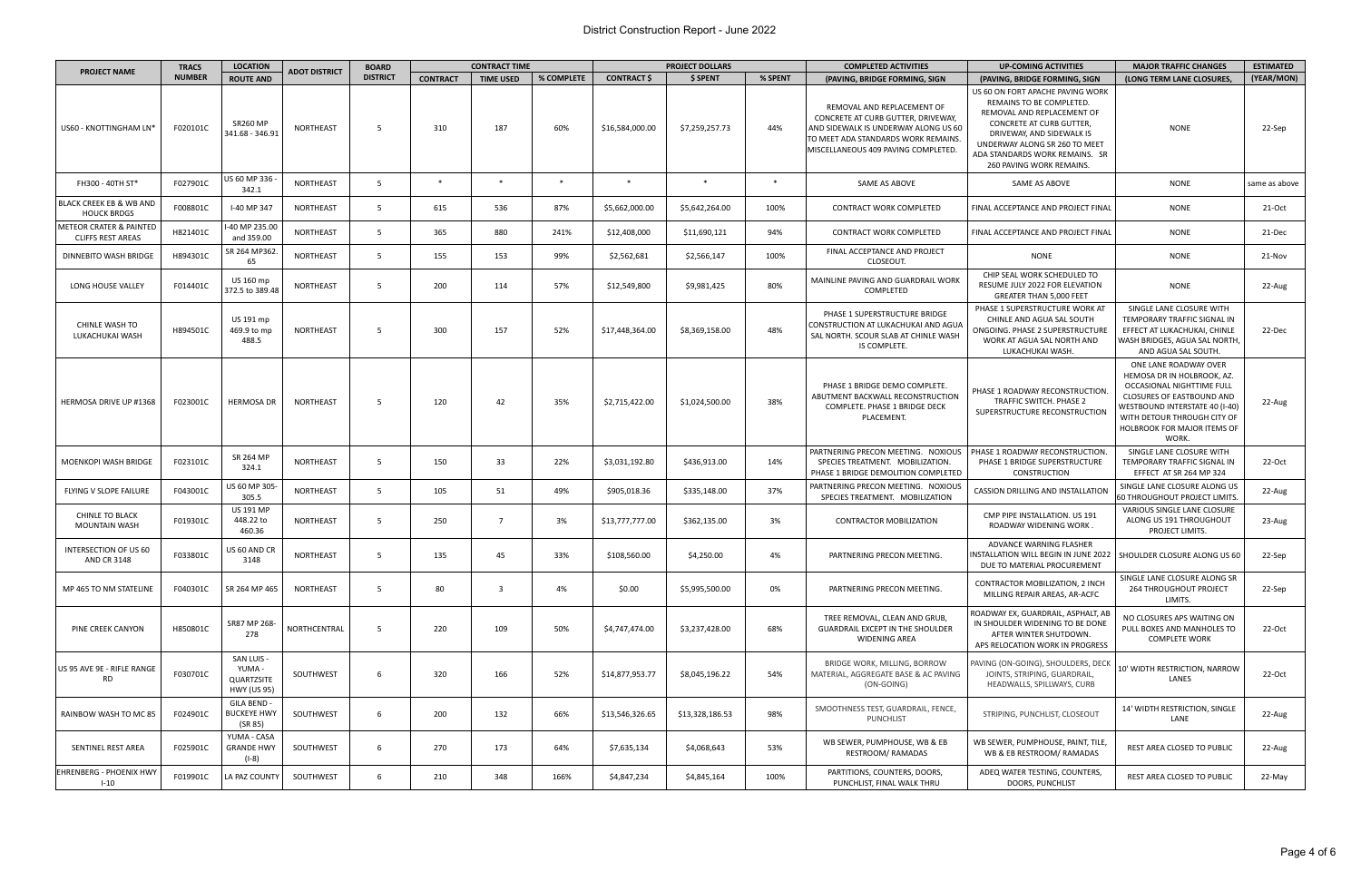| <b>PROJECT NAME</b>                                 | <b>TRACS</b>  | <b>LOCATION</b><br><b>CONTRACT TIME</b><br><b>BOARD</b><br><b>ADOT DISTRICT</b> |                  |                 |                 | <b>PROJECT DOLLARS</b>  |            | <b>COMPLETED ACTIVITIES</b> | <b>UP-COMING ACTIVITIES</b> | <b>MAJOR TRAFFIC CHANGES</b> | <b>ESTIMATED</b>                                                                                                                                                                       |                                                                                                                                                                                                                                                           |                                                                                                                                                                                                                               |               |
|-----------------------------------------------------|---------------|---------------------------------------------------------------------------------|------------------|-----------------|-----------------|-------------------------|------------|-----------------------------|-----------------------------|------------------------------|----------------------------------------------------------------------------------------------------------------------------------------------------------------------------------------|-----------------------------------------------------------------------------------------------------------------------------------------------------------------------------------------------------------------------------------------------------------|-------------------------------------------------------------------------------------------------------------------------------------------------------------------------------------------------------------------------------|---------------|
|                                                     | <b>NUMBER</b> | <b>ROUTE AND</b>                                                                |                  | <b>DISTRICT</b> | <b>CONTRACT</b> | <b>TIME USED</b>        | % COMPLETE | <b>CONTRACT \$</b>          | \$ SPENT                    | % SPENT                      | (PAVING, BRIDGE FORMING, SIGN                                                                                                                                                          | (PAVING, BRIDGE FORMING, SIGN                                                                                                                                                                                                                             | (LONG TERM LANE CLOSURES,                                                                                                                                                                                                     | (YEAR/MON)    |
| US60 - KNOTTINGHAM LN'                              | F020101C      | <b>SR260 MP</b><br>341.68 - 346.91                                              | NORTHEAST        | - 5             | 310             | 187                     | 60%        | \$16,584,000.00             | \$7,259,257.73              | 44%                          | REMOVAL AND REPLACEMENT OF<br>CONCRETE AT CURB GUTTER, DRIVEWAY,<br>AND SIDEWALK IS UNDERWAY ALONG US 60<br>TO MEET ADA STANDARDS WORK REMAINS.<br>MISCELLANEOUS 409 PAVING COMPLETED. | US 60 ON FORT APACHE PAVING WORK<br>REMAINS TO BE COMPLETED.<br>REMOVAL AND REPLACEMENT OF<br><b>CONCRETE AT CURB GUTTER.</b><br>DRIVEWAY, AND SIDEWALK IS<br>UNDERWAY ALONG SR 260 TO MEET<br>ADA STANDARDS WORK REMAINS. SR<br>260 PAVING WORK REMAINS. | <b>NONE</b>                                                                                                                                                                                                                   | 22-Sep        |
| FH300 - 40TH ST*                                    | F027901C      | US 60 MP 336<br>342.1                                                           | NORTHEAST        | - 5             | $\ast$          | $\ast$                  | $\ast$     | $\ast$                      | $\ast$                      | $\ast$                       | SAME AS ABOVE                                                                                                                                                                          | SAME AS ABOVE                                                                                                                                                                                                                                             | <b>NONE</b>                                                                                                                                                                                                                   | same as above |
| BLACK CREEK EB & WB AND<br><b>HOUCK BRDGS</b>       | F008801C      | I-40 MP 347                                                                     | NORTHEAST        | - 5             | 615             | 536                     | 87%        | \$5,662,000.00              | \$5,642,264.00              | 100%                         | CONTRACT WORK COMPLETED                                                                                                                                                                | FINAL ACCEPTANCE AND PROJECT FINAL                                                                                                                                                                                                                        | <b>NONE</b>                                                                                                                                                                                                                   | 21-Oct        |
| METEOR CRATER & PAINTED<br><b>CLIFFS REST AREAS</b> | H821401C      | I-40 MP 235.00<br>and 359.00                                                    | NORTHEAST        | - 5             | 365             | 880                     | 241%       | \$12,408,000                | \$11,690,121                | 94%                          | CONTRACT WORK COMPLETED                                                                                                                                                                | FINAL ACCEPTANCE AND PROJECT FINAL                                                                                                                                                                                                                        | <b>NONE</b>                                                                                                                                                                                                                   | 21-Dec        |
| DINNEBITO WASH BRIDGE                               | H894301C      | SR 264 MP362.<br>65                                                             | NORTHEAST        | - 5             | 155             | 153                     | 99%        | \$2,562,681                 | \$2,566,147                 | 100%                         | FINAL ACCEPTANCE AND PROJECT<br>CLOSEOUT.                                                                                                                                              | <b>NONE</b>                                                                                                                                                                                                                                               | <b>NONE</b>                                                                                                                                                                                                                   | 21-Nov        |
| LONG HOUSE VALLEY                                   | F014401C      | US 160 mp<br>372.5 to 389.48                                                    | NORTHEAST        | - 5             | 200             | 114                     | 57%        | \$12,549,800                | \$9,981,425                 | 80%                          | MAINLINE PAVING AND GUARDRAIL WORK<br>COMPLETED                                                                                                                                        | CHIP SEAL WORK SCHEDULED TO<br>RESUME JULY 2022 FOR ELEVATION<br>GREATER THAN 5,000 FEET                                                                                                                                                                  | <b>NONE</b>                                                                                                                                                                                                                   | 22-Aug        |
| <b>CHINLE WASH TO</b><br>LUKACHUKAI WASH            | H894501C      | US 191 mp<br>469.9 to mp<br>488.5                                               | NORTHEAST        | -5              | 300             | 157                     | 52%        | \$17,448,364.00             | \$8,369,158.00              | 48%                          | PHASE 1 SUPERSTRUCTURE BRIDGE<br>CONSTRUCTION AT LUKACHUKAI AND AGUA<br>SAL NORTH. SCOUR SLAB AT CHINLE WASH<br>IS COMPLETE.                                                           | PHASE 1 SUPERSTRUCTURE WORK AT<br>CHINLE AND AGUA SAL SOUTH<br>ONGOING. PHASE 2 SUPERSTRUCTURE<br>WORK AT AGUA SAL NORTH AND<br>LUKACHUKAI WASH.                                                                                                          | SINGLE LANE CLOSURE WITH<br>TEMPORARY TRAFFIC SIGNAL IN<br>EFFECT AT LUKACHUKAI, CHINLE<br>WASH BRIDGES, AGUA SAL NORTH,<br>AND AGUA SAL SOUTH.                                                                               | 22-Dec        |
| HERMOSA DRIVE UP #1368                              | F023001C      | <b>HERMOSA DR</b>                                                               | <b>NORTHEAST</b> | - 5             | 120             | 42                      | 35%        | \$2,715,422.00              | \$1,024,500.00              | 38%                          | PHASE 1 BRIDGE DEMO COMPLETE.<br>ABUTMENT BACKWALL RECONSTRUCTION<br>COMPLETE. PHASE 1 BRIDGE DECK<br>PLACEMENT.                                                                       | PHASE 1 ROADWAY RECONSTRUCTION.<br>TRAFFIC SWITCH. PHASE 2<br>SUPERSTRUCTURE RECONSTRUCTION                                                                                                                                                               | ONE LANE ROADWAY OVER<br>HEMOSA DR IN HOLBROOK, AZ.<br>OCCASIONAL NIGHTTIME FULL<br>CLOSURES OF EASTBOUND AND<br>WESTBOUND INTERSTATE 40 (I-40)<br>WITH DETOUR THROUGH CITY OF<br><b>HOLBROOK FOR MAJOR ITEMS OF</b><br>WORK. | 22-Aug        |
| <b>MOENKOPI WASH BRIDGE</b>                         | F023101C      | SR 264 MP<br>324.1                                                              | NORTHEAST        | - 5             | 150             | 33                      | 22%        | \$3,031,192.80              | \$436,913.00                | 14%                          | PARTNERING PRECON MEETING. NOXIOUS<br>SPECIES TREATMENT. MOBILIZATION.<br>PHASE 1 BRIDGE DEMOLITION COMPLETED                                                                          | PHASE 1 ROADWAY RECONSTRUCTION.<br>PHASE 1 BRIDGE SUPERSTRUCTURE<br><b>CONSTRUCTION</b>                                                                                                                                                                   | SINGLE LANE CLOSURE WITH<br>TEMPORARY TRAFFIC SIGNAL IN<br>EFFECT AT SR 264 MP 324                                                                                                                                            | 22-Oct        |
| FLYING V SLOPE FAILURE                              | F043001C      | US 60 MP 305 <sub>′</sub><br>305.5                                              | NORTHEAST        | - 5             | 105             | 51                      | 49%        | \$905,018.36                | \$335,148.00                | 37%                          | PARTNERING PRECON MEETING. NOXIOUS<br>SPECIES TREATMENT. MOBILIZATION                                                                                                                  | CASSION DRILLING AND INSTALLATION                                                                                                                                                                                                                         | SINGLE LANE CLOSURE ALONG US<br>60 THROUGHOUT PROJECT LIMITS.                                                                                                                                                                 | 22-Aug        |
| <b>CHINLE TO BLACK</b><br><b>MOUNTAIN WASH</b>      | F019301C      | <b>US 191 MP</b><br>448.22 to<br>460.36                                         | NORTHEAST        | 5               | 250             | $\overline{7}$          | 3%         | \$13,777,777.00             | \$362,135.00                | 3%                           | CONTRACTOR MOBILIZATION                                                                                                                                                                | CMP PIPE INSTALLATION. US 191<br>ROADWAY WIDENING WORK.                                                                                                                                                                                                   | VARIOUS SINGLE LANE CLOSURE<br>ALONG US 191 THROUGHOUT<br>PROJECT LIMITS.                                                                                                                                                     | 23-Aug        |
| INTERSECTION OF US 60<br>AND CR 3148                | F033801C      | US 60 AND CR<br>3148                                                            | NORTHEAST        |                 | 135             | 45                      | 33%        | \$108,560.00                | \$4,250.00                  | 4%                           | PARTNERING PRECON MEETING.                                                                                                                                                             | ADVANCE WARNING FLASHER<br>INSTALLATION WILL BEGIN IN JUNE 2022   SHOULDER CLOSURE ALONG US 60<br>DUE TO MATERIAL PROCUREMENT                                                                                                                             |                                                                                                                                                                                                                               | 22-Sep        |
| MP 465 TO NM STATELINE                              | F040301C      | SR 264 MP 465                                                                   | <b>NORTHEAST</b> | - 5             | 80              | $\overline{\mathbf{3}}$ | 4%         | \$0.00                      | \$5,995,500.00              | 0%                           | PARTNERING PRECON MEETING.                                                                                                                                                             | CONTRACTOR MOBILIZATION, 2 INCH<br>MILLING REPAIR AREAS, AR-ACFC                                                                                                                                                                                          | SINGLE LANE CLOSURE ALONG SR<br><b>264 THROUGHOUT PROJECT</b><br>LIMITS.                                                                                                                                                      | 22-Sep        |
| <b>PINE CREEK CANYON</b>                            | H850801C      | SR87 MP 268-<br>278                                                             | NORTHCENTRAL     | - 5             | 220             | 109                     | 50%        | \$4,747,474.00              | \$3,237,428.00              | 68%                          | TREE REMOVAL, CLEAN AND GRUB,<br><b>GUARDRAIL EXCEPT IN THE SHOULDER</b><br>WIDENING AREA                                                                                              | ROADWAY EX, GUARDRAIL, ASPHALT, AB<br>IN SHOULDER WIDENING TO BE DONE<br>AFTER WINTER SHUTDOWN.<br>APS RELOCATION WORK IN PROGRESS                                                                                                                        | NO CLOSURES APS WAITING ON<br>PULL BOXES AND MANHOLES TO<br><b>COMPLETE WORK</b>                                                                                                                                              | 22-Oct        |
| US 95 AVE 9E - RIFLE RANGE<br><b>RD</b>             | F030701C      | SAN LUIS -<br>YUMA-<br>QUARTZSITE<br><b>HWY (US 95)</b>                         | SOUTHWEST        | 6               | 320             | 166                     | 52%        | \$14,877,953.77             | \$8,045,196.22              | 54%                          | BRIDGE WORK, MILLING, BORROW<br>MATERIAL, AGGREGATE BASE & AC PAVING<br>(ON-GOING)                                                                                                     | PAVING (ON-GOING), SHOULDERS, DECK<br>JOINTS, STRIPING, GUARDRAIL,<br>HEADWALLS, SPILLWAYS, CURB                                                                                                                                                          | 10' WIDTH RESTRICTION, NARROW<br>LANES                                                                                                                                                                                        | 22-Oct        |
| RAINBOW WASH TO MC 85                               | F024901C      | GILA BEND -<br><b>BUCKEYE HWY</b><br>(SR 85)                                    | SOUTHWEST        | 6               | 200             | 132                     | 66%        | \$13,546,326.65             | \$13,328,186.53             | 98%                          | SMOOTHNESS TEST, GUARDRAIL, FENCE,<br>PUNCHLIST                                                                                                                                        | STRIPING, PUNCHLIST, CLOSEOUT                                                                                                                                                                                                                             | 14' WIDTH RESTRICTION, SINGLE<br>LANE                                                                                                                                                                                         | 22-Aug        |
| SENTINEL REST AREA                                  | F025901C      | YUMA - CASA<br><b>GRANDE HWY</b><br>(I-8)                                       | SOUTHWEST        | 6               | 270             | 173                     | 64%        | \$7,635,134                 | \$4,068,643                 | 53%                          | WB SEWER, PUMPHOUSE, WB & EB<br>RESTROOM/RAMADAS                                                                                                                                       | WB SEWER, PUMPHOUSE, PAINT, TILE,<br>WB & EB RESTROOM/ RAMADAS                                                                                                                                                                                            | <b>REST AREA CLOSED TO PUBLIC</b>                                                                                                                                                                                             | 22-Aug        |
| <b>EHRENBERG - PHOENIX HWY</b><br>$1 - 10$          | F019901C      | LA PAZ COUNTY                                                                   | SOUTHWEST        | 6               | 210             | 348                     | 166%       | \$4,847,234                 | \$4,845,164                 | 100%                         | PARTITIONS, COUNTERS, DOORS,<br>PUNCHLIST, FINAL WALK THRU                                                                                                                             | ADEQ WATER TESTING, COUNTERS,<br>DOORS, PUNCHLIST                                                                                                                                                                                                         | REST AREA CLOSED TO PUBLIC                                                                                                                                                                                                    | 22-May        |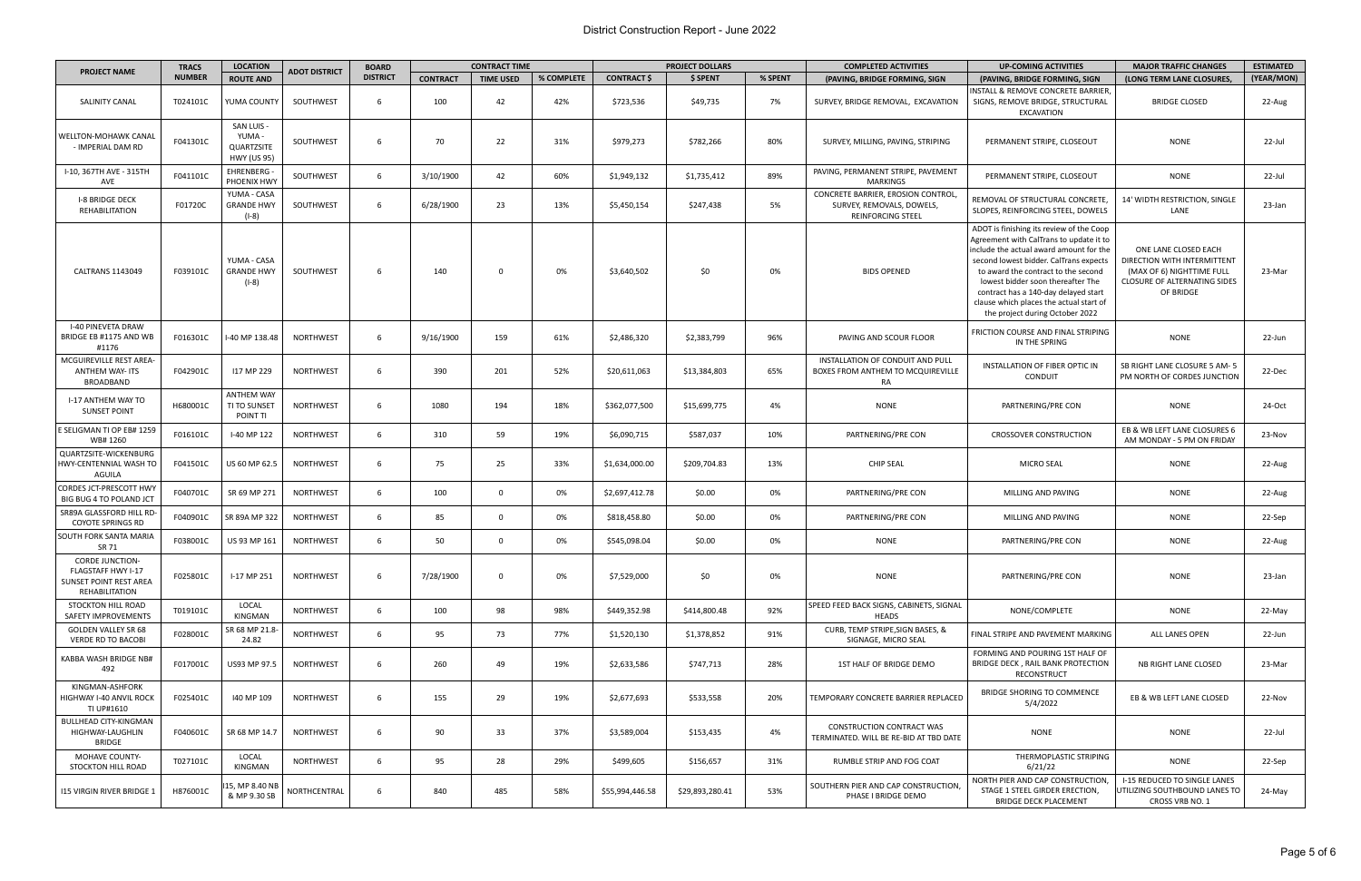## District Construction Report - June 2022

| <b>PROJECT NAME</b>                                                                      |               | <b>LOCATION</b><br><b>TRACS</b>                                | <b>ADOT DISTRICT</b> | <b>BOARD</b>    | <b>CONTRACT TIME</b> |                  |            |                    | <b>PROJECT DOLLARS</b> |         | <b>COMPLETED ACTIVITIES</b>                                                          | <b>UP-COMING ACTIVITIES</b>                                                                                                                                                                                                                                                                                                                                                | <b>MAJOR TRAFFIC CHANGES</b>                                                                                                         | <b>ESTIMATED</b> |
|------------------------------------------------------------------------------------------|---------------|----------------------------------------------------------------|----------------------|-----------------|----------------------|------------------|------------|--------------------|------------------------|---------|--------------------------------------------------------------------------------------|----------------------------------------------------------------------------------------------------------------------------------------------------------------------------------------------------------------------------------------------------------------------------------------------------------------------------------------------------------------------------|--------------------------------------------------------------------------------------------------------------------------------------|------------------|
|                                                                                          | <b>NUMBER</b> | <b>ROUTE AND</b>                                               |                      | <b>DISTRICT</b> | <b>CONTRACT</b>      | <b>TIME USED</b> | % COMPLETE | <b>CONTRACT \$</b> | \$ SPENT               | % SPENT | (PAVING, BRIDGE FORMING, SIGN                                                        | (PAVING, BRIDGE FORMING, SIGN                                                                                                                                                                                                                                                                                                                                              | (LONG TERM LANE CLOSURES.                                                                                                            | (YEAR/MON)       |
| SALINITY CANAL                                                                           | T024101C      | YUMA COUNTY                                                    | SOUTHWEST            | 6               | 100                  | 42               | 42%        | \$723,536          | \$49,735               | 7%      | SURVEY, BRIDGE REMOVAL, EXCAVATION                                                   | NSTALL & REMOVE CONCRETE BARRIER,<br>SIGNS, REMOVE BRIDGE, STRUCTURAL<br>EXCAVATION                                                                                                                                                                                                                                                                                        | <b>BRIDGE CLOSED</b>                                                                                                                 | 22-Aug           |
| WELLTON-MOHAWK CANAL<br>- IMPERIAL DAM RD                                                | F041301C      | SAN LUIS -<br>YUMA-<br><b>QUARTZSITE</b><br><b>HWY (US 95)</b> | SOUTHWEST            | 6               | 70                   | 22               | 31%        | \$979,273          | \$782,266              | 80%     | SURVEY, MILLING, PAVING, STRIPING                                                    | PERMANENT STRIPE, CLOSEOUT                                                                                                                                                                                                                                                                                                                                                 | <b>NONE</b>                                                                                                                          | 22-Jul           |
| I-10, 367TH AVE - 315TH<br>AVE                                                           | F041101C      | EHRENBERG<br>PHOENIX HWY                                       | SOUTHWEST            | -6              | 3/10/1900            | 42               | 60%        | \$1,949,132        | \$1,735,412            | 89%     | PAVING, PERMANENT STRIPE, PAVEMENT<br><b>MARKINGS</b>                                | PERMANENT STRIPE, CLOSEOUT                                                                                                                                                                                                                                                                                                                                                 | <b>NONE</b>                                                                                                                          | 22-Jul           |
| <b>I-8 BRIDGE DECK</b><br><b>REHABILITATION</b>                                          | F01720C       | YUMA - CASA<br><b>GRANDE HWY</b><br>(I-8)                      | SOUTHWEST            | 6               | 6/28/1900            | 23               | 13%        | \$5,450,154        | \$247,438              | 5%      | CONCRETE BARRIER, EROSION CONTROL.<br>SURVEY, REMOVALS, DOWELS,<br>REINFORCING STEEL | REMOVAL OF STRUCTURAL CONCRETE<br>SLOPES, REINFORCING STEEL, DOWELS                                                                                                                                                                                                                                                                                                        | 14' WIDTH RESTRICTION, SINGLE<br>LANE                                                                                                | 23-Jan           |
| <b>CALTRANS 1143049</b>                                                                  | F039101C      | YUMA - CASA<br><b>GRANDE HWY</b><br>$(I-8)$                    | SOUTHWEST            | 6               | 140                  | $\Omega$         | 0%         | \$3,640,502        | \$0                    | 0%      | <b>BIDS OPENED</b>                                                                   | ADOT is finishing its review of the Coop<br>Agreement with CalTrans to update it to<br>include the actual award amount for the<br>second lowest bidder. CalTrans expects<br>to award the contract to the second<br>lowest bidder soon thereafter The<br>contract has a 140-day delayed start<br>clause which places the actual start of<br>the project during October 2022 | ONE LANE CLOSED EACH<br>DIRECTION WITH INTERMITTENT<br>(MAX OF 6) NIGHTTIME FULL<br><b>CLOSURE OF ALTERNATING SIDES</b><br>OF BRIDGE | 23-Mar           |
| <b>I-40 PINEVETA DRAW</b><br>BRIDGE EB #1175 AND WB<br>#1176                             | F016301C      | -40 MP 138.48                                                  | <b>NORTHWEST</b>     | 6               | 9/16/1900            | 159              | 61%        | \$2,486,320        | \$2,383,799            | 96%     | PAVING AND SCOUR FLOOR                                                               | FRICTION COURSE AND FINAL STRIPING<br>IN THE SPRING                                                                                                                                                                                                                                                                                                                        | <b>NONE</b>                                                                                                                          | 22-Jun           |
| MCGUIREVILLE REST AREA-<br>ANTHEM WAY- ITS<br>BROADBAND                                  | F042901C      | 117 MP 229                                                     | <b>NORTHWEST</b>     | 6               | 390                  | 201              | 52%        | \$20,611,063       | \$13,384,803           | 65%     | INSTALLATION OF CONDUIT AND PULL<br>BOXES FROM ANTHEM TO MCQUIREVILLE<br>RA          | INSTALLATION OF FIBER OPTIC IN<br><b>CONDUIT</b>                                                                                                                                                                                                                                                                                                                           | <b>SB RIGHT LANE CLOSURE 5 AM-5</b><br>PM NORTH OF CORDES JUNCTION                                                                   | 22-Dec           |
| I-17 ANTHEM WAY TO<br><b>SUNSET POINT</b>                                                | H680001C      | <b>ANTHEM WAY</b><br>TI TO SUNSET<br>POINT TI                  | <b>NORTHWEST</b>     | 6               | 1080                 | 194              | 18%        | \$362,077,500      | \$15,699,775           | 4%      | <b>NONE</b>                                                                          | PARTNERING/PRE CON                                                                                                                                                                                                                                                                                                                                                         | <b>NONE</b>                                                                                                                          | 24-Oct           |
| E SELIGMAN TI OP EB# 1259<br>WB# 1260                                                    | F016101C      | I-40 MP 122                                                    | <b>NORTHWEST</b>     | $6\overline{6}$ | 310                  | 59               | 19%        | \$6,090,715        | \$587,037              | 10%     | PARTNERING/PRE CON                                                                   | <b>CROSSOVER CONSTRUCTION</b>                                                                                                                                                                                                                                                                                                                                              | EB & WB LEFT LANE CLOSURES 6<br>AM MONDAY - 5 PM ON FRIDAY                                                                           | 23-Nov           |
| QUARTZSITE-WICKENBURG<br>HWY-CENTENNIAL WASH TO<br><b>AGUILA</b>                         | F041501C      | US 60 MP 62.5                                                  | <b>NORTHWEST</b>     | 6               | 75                   | 25               | 33%        | \$1,634,000.00     | \$209,704.83           | 13%     | <b>CHIP SEAL</b>                                                                     | <b>MICRO SEAL</b>                                                                                                                                                                                                                                                                                                                                                          | <b>NONE</b>                                                                                                                          | 22-Aug           |
| CORDES JCT-PRESCOTT HWY<br>BIG BUG 4 TO POLAND JCT                                       | F040701C      | SR 69 MP 271                                                   | <b>NORTHWEST</b>     | $6\overline{6}$ | 100                  | $\overline{0}$   | 0%         | \$2,697,412.78     | \$0.00                 | 0%      | PARTNERING/PRE CON                                                                   | MILLING AND PAVING                                                                                                                                                                                                                                                                                                                                                         | <b>NONE</b>                                                                                                                          | 22-Aug           |
| SR89A GLASSFORD HILL RD-<br><b>COYOTE SPRINGS RD</b>                                     | F040901C      | SR 89A MP 322                                                  | <b>NORTHWEST</b>     | 6               | 85                   | $\Omega$         | 0%         | \$818,458.80       | \$0.00                 | 0%      | PARTNERING/PRE CON                                                                   | MILLING AND PAVING                                                                                                                                                                                                                                                                                                                                                         | <b>NONE</b>                                                                                                                          | 22-Sep           |
| SOUTH FORK SANTA MARIA<br>SR 71                                                          | F038001C      | US 93 MP 161                                                   | <b>NORTHWEST</b>     | 6               | 50                   | $\Omega$         | 0%         | \$545,098.04       | \$0.00                 | 0%      | <b>NONE</b>                                                                          | PARTNERING/PRE CON                                                                                                                                                                                                                                                                                                                                                         | <b>NONE</b>                                                                                                                          | 22-Aug           |
| <b>CORDE JUNCTION-</b><br>FLAGSTAFF HWY I-17<br>SUNSET POINT REST AREA<br>REHABILITATION | F025801C      | I-17 MP 251                                                    | NORTHWEST            | 6               | 7/28/1900            | $\overline{0}$   | 0%         | \$7,529,000        | \$0                    | 0%      | <b>NONE</b>                                                                          | PARTNERING/PRE CON                                                                                                                                                                                                                                                                                                                                                         | <b>NONE</b>                                                                                                                          | 23-Jan           |
| STOCKTON HILL ROAD<br>SAFETY IMPROVEMENTS                                                | T019101C      | LOCAL<br>KINGMAN                                               | NORTHWEST            | 6               | 100                  | 98               | 98%        | \$449,352.98       | \$414,800.48           | 92%     | SPEED FEED BACK SIGNS, CABINETS, SIGNAL<br><b>HEADS</b>                              | NONE/COMPLETE                                                                                                                                                                                                                                                                                                                                                              | <b>NONE</b>                                                                                                                          | 22-May           |
| <b>GOLDEN VALLEY SR 68</b><br><b>VERDE RD TO BACOBI</b>                                  | F028001C      | SR 68 MP 21.8-<br>24.82                                        | NORTHWEST            | 6               | 95                   | 73               | 77%        | \$1,520,130        | \$1,378,852            | 91%     | CURB, TEMP STRIPE, SIGN BASES, &<br>SIGNAGE, MICRO SEAL                              | FINAL STRIPE AND PAVEMENT MARKING                                                                                                                                                                                                                                                                                                                                          | ALL LANES OPEN                                                                                                                       | 22-Jun           |
| KABBA WASH BRIDGE NB#<br>492                                                             | F017001C      | US93 MP 97.5                                                   | <b>NORTHWEST</b>     | 6               | 260                  | 49               | 19%        | \$2,633,586        | \$747,713              | 28%     | 1ST HALF OF BRIDGE DEMO                                                              | FORMING AND POURING 1ST HALF OF<br>BRIDGE DECK, RAIL BANK PROTECTION<br>RECONSTRUCT                                                                                                                                                                                                                                                                                        | NB RIGHT LANE CLOSED                                                                                                                 | 23-Mar           |
| KINGMAN-ASHFORK<br>HIGHWAY I-40 ANVIL ROCK<br>TI UP#1610                                 | F025401C      | 140 MP 109                                                     | <b>NORTHWEST</b>     | 6               | 155                  | 29               | 19%        | \$2,677,693        | \$533,558              | 20%     | TEMPORARY CONCRETE BARRIER REPLACED                                                  | <b>BRIDGE SHORING TO COMMENCE</b><br>5/4/2022                                                                                                                                                                                                                                                                                                                              | EB & WB LEFT LANE CLOSED                                                                                                             | 22-Nov           |
| <b>BULLHEAD CITY-KINGMAN</b><br>HIGHWAY-LAUGHLIN<br><b>BRIDGE</b>                        | F040601C      | SR 68 MP 14.7                                                  | <b>NORTHWEST</b>     | 6               | 90                   | 33               | 37%        | \$3,589,004        | \$153,435              | 4%      | CONSTRUCTION CONTRACT WAS<br>TERMINATED. WILL BE RE-BID AT TBD DATE                  | NONE                                                                                                                                                                                                                                                                                                                                                                       | <b>NONE</b>                                                                                                                          | 22-Jul           |
| MOHAVE COUNTY-<br><b>STOCKTON HILL ROAD</b>                                              | T027101C      | LOCAL<br>KINGMAN                                               | <b>NORTHWEST</b>     | - 6             | 95                   | 28               | 29%        | \$499,605          | \$156,657              | 31%     | RUMBLE STRIP AND FOG COAT                                                            | THERMOPLASTIC STRIPING<br>6/21/22                                                                                                                                                                                                                                                                                                                                          | NONE                                                                                                                                 | 22-Sep           |
| <b>115 VIRGIN RIVER BRIDGE 1</b>                                                         | H876001C      | 15, MP 8.40 NB<br>& MP 9.30 SB                                 | NORTHCENTRAL         | 6               | 840                  | 485              | 58%        | \$55,994,446.58    | \$29,893,280.41        | 53%     | SOUTHERN PIER AND CAP CONSTRUCTION,<br>PHASE I BRIDGE DEMO                           | NORTH PIER AND CAP CONSTRUCTION,<br>STAGE 1 STEEL GIRDER ERECTION,<br>BRIDGE DECK PLACEMENT                                                                                                                                                                                                                                                                                | I-15 REDUCED TO SINGLE LANES<br>UTILIZING SOUTHBOUND LANES TO<br>CROSS VRB NO. 1                                                     | 24-May           |